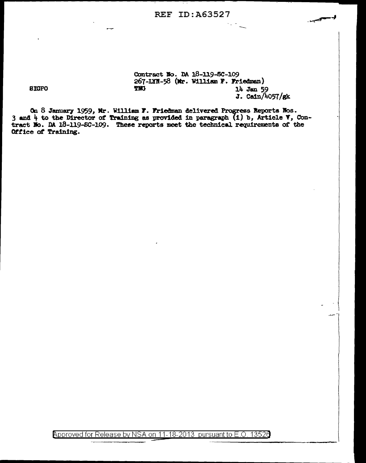### REF ID:A63527

Contract No. DA 18-119-SC-109 267-LYN-58 (Mr. William F. Friedman)<br>TNG 14 Jan 50 flll 14 Jan 59  $J.$  Cain/4057/gk -~

On 8 January 1959, Mr. William F. Friedman delivered Progress Reports Nos. 3 and  $4$  to the Director of Training as provided in paragraph (1) b, Article V, Contract No. 10 18-119-SC-109. These reports meet the technical requirements of the Office of Training.

Approved for Release by NSA on 11-18-2013 pursuant to E.O. 13526

SIGPO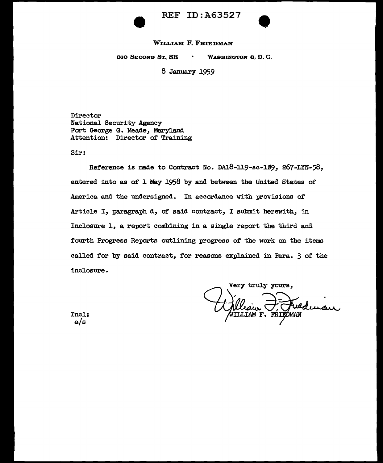

REF ID: A63527



#### WILLIAM F. FRIEDMAN

310 SECOND ST., SE WASHINGTON 3, D. C.

8 January 1959

Director National Security Agency Fort George G. Meade, Maryland Attention: Director of Training

Sir:

Reference is made to Contract No. DA18-119-sc-109, 267-LYN-58, entered into as of l May 2958 by and between the United States of America and the undersigned. In accordance with provisions of Article I, paragraph d, of said contract, I submit herewith, in Inclosure l, a report combining in a single report the third and fourth Progress Reports outlining progress of the work on the items called for by said contract, for reasons explained in Para. 3 of the inclosure.

Very truly yours. WILLIAM F. FRIEDMAN

Incl: a/s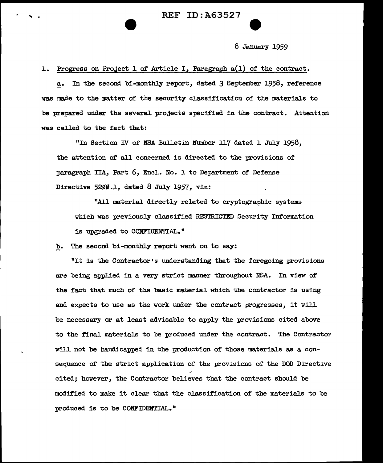8 January 1959

l. Progress on Project l of Article I, Paragraph a(l) of the contract.

a. In the second bi-monthly report, dated 3 September 1958, reference was made to the matter of the security classification of the materials to be prepared under the several projects specified in the contract. Attention was called to the fact that:

"In Section IV of NSA Bulletin Number 117 dated 1 July 1958, the attention of all concerned is directed to the provisions of paragraph IIA, Part 6, EncJ.. No. l to Department of Defense Directive  $5200.1$ , dated 8 July 1957, viz:

"All material directly related to cryptographic systems which was previously classified RESTRICTED Security Information is upgraded to CONFIDENTIAL."

b. The second bi-monthly report went on to say:

"It is the Contractor's understanding that the foregoing provisions are being applied in a very strict manner throughout NSA. In view of the fact that much of the basic material which the contractor is using and expects to use as the work under the contract progresses, it will be necessary or at least advisable to apply the provisions cited above to the final materials to be produced under the contract. The Contractor will not be handicapped in the production of those materials as a consequence of the strict application of the provisions of the DOD Directive cited; however, the Contractor believes that the contract should be modified to make it clear that the classification of the materials to be produced is to be CONFIDENTIAL."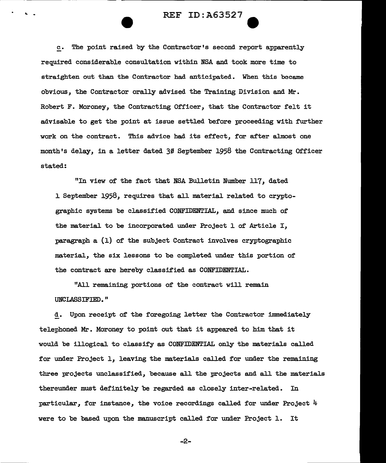# .. - REF ID:A63527 e

c. The point raised by the Contractor•s second report apparently required considerable consu1tation within NSA and took more time to straighten out than the Contractor had anticipated. When this became obvious, the Contractor orally advised the Training Division and Mr. Robert F. Moroney, the Contracting Officer, that the Contractor felt it advisable to get the point at issue settled before proceeding with further work on the contract. This advice had its effect, for after a1most one month's delay, in a letter dated 30 September 1958 the Contracting Officer stated:

"In view of the fact that NSA Bulletin Number 117, dated 1 September 1958, requires that a11 material related to cryptographic systems be classified CONFIDENTIAL, and since much of the material to be incorporated under Project 1 of Article I, paragraph a (1) of the subject Contract involves cryptographic material, the six lessons to be completed under this portion of the contract are hereby classified as CONFIDENTIAL.

"All remaining portions of the contract will remain UNCLASSIFIED."

d. Upon receipt of the foregoing letter the Contractor immediately telephoned Mr. Moroney to point out that it appeared to him that it wou1d be illogical to classify as CONFIDENTIAL only the materials called for under Project 1, leaving the materials ca1led for under the remaining three projects unclassified, because all the projects and all the materia1s thereunder must definitely be regarded as closely inter-related. In particular, for instance, the voice recordings called for under Project 4 were to be based upon the manuscript called for under Project 1. It

-2-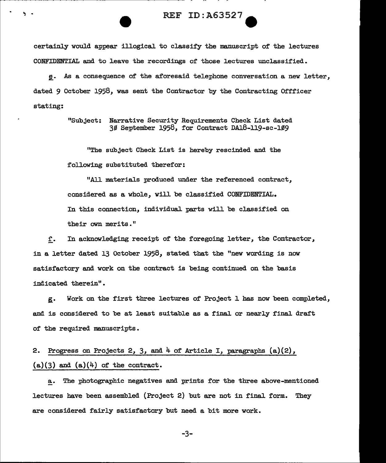#### REF ID: A63527

certainly would appear illogical to classify the manuscript of the lectures CONFIDENTIAL and to leave the recordings of those lectures unclassified.

~- As a consequence of the aforesaid telephone conversation a new letter, dated 9 October 1958, was sent the Contractor by the Contracting Offficer stating:

> "Subject: Narrative Security Requirements Check List dated  $30$  September 1958, for Contract DA18-119-sc-109

"The subject Check List is hereby rescinded and the following substituted therefor:

"All materials produced under the referenced contract, considered as a whole, will be classified CONFIDENTIAL. In this connection, individual parts will be classified on their own merits."

r. In acknowledging receipt of the foregoing letter, the Contractor, in a letter dated 13 October 1958, stated that the "new wording is now satisfactory and work on the contract is being continued on the basis indicated therein".

g. Work on the first three lectures of Project 1 has now been completed, and is considered to be at least suitable as a final or nearly final draft of the required manuscripts.

2. Progress on Projects 2, 3, and  $4$  of Article I, paragraphs  $(a)(2)$ ,  $(a)(3)$  and  $(a)(4)$  of the contract.

a. The photographic negatives and prints for the three above-mentioned lectures have been assembled (Project 2) but are not in final form. They are considered fairly satisfactory but need a bit more work.

-3-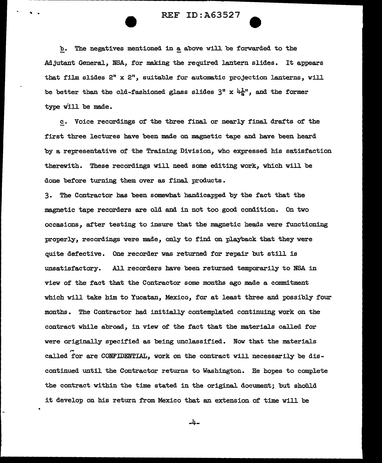## REF ID:A63527

b. The negatives mentioned in a above will be forwarded to the Adjutant General, NSA, for making the required lantern slides. It appears that film slides  $2"$  x  $2"$ , suitable for automatic projection lanterns, will be better than the old-fashioned glass slides  $3''$  x  $4\frac{1}{h}''$ , and the former type will be made.

c. Voice recordings of' the three final or nearly final drafts of' the first three lectures have been made on magnetic tape and have been heard by a representative of the Training Division, who expressed his satisfaction therewith. These recordings will need some editing work, which will be done before turning them over as final products.

3. The Contractor has been somewhat handicapped by the fact that the magnetic tape recorders are old and in not too good condition. On two occasions, af'ter testing to insure that the magnetic heads were fUnctioning properly, recordings were made, only to find on playback that they were quite defective. One recorder was returned for repair but still is unsatisfactory. All recorders have been returned temporarily to NSA in view of the fact that the Contractor some months ago made a commitment which will take him to Yucatan, Mexico, for at least three and possibly *tour*  months. The Contractor had initially contemplated continuing work on the contract while abroad, in view of' the fact that the materials called for were originally specified as being unclassified. Now that the materials called for are CONFIDENTIAL, work on the contract will necessarily be discontinued until the Contractor returns to Washington. Re hopes to complete the contract within the time stated in the original document; but should it develop on his return from Mexico that an extension of time will be

-4-